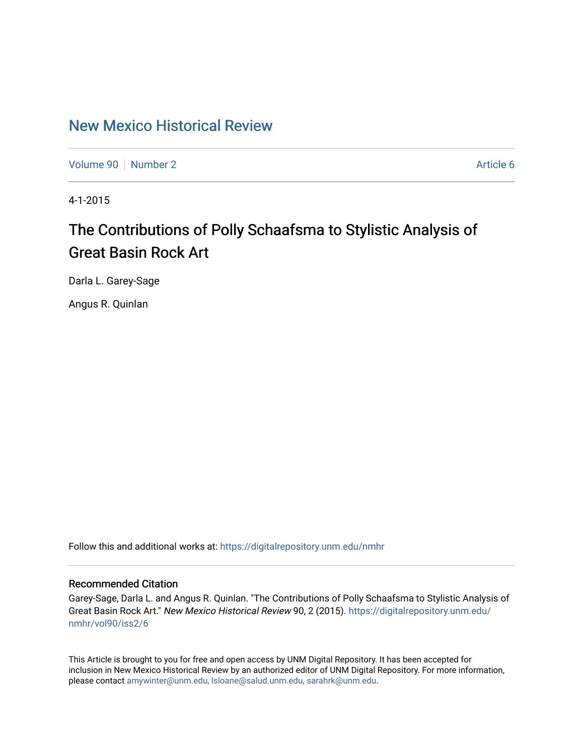## [New Mexico Historical Review](https://digitalrepository.unm.edu/nmhr)

[Volume 90](https://digitalrepository.unm.edu/nmhr/vol90) [Number 2](https://digitalrepository.unm.edu/nmhr/vol90/iss2) Article 6

4-1-2015

# The Contributions of Polly Schaafsma to Stylistic Analysis of Great Basin Rock Art

Darla L. Garey-Sage

Angus R. Quinlan

Follow this and additional works at: [https://digitalrepository.unm.edu/nmhr](https://digitalrepository.unm.edu/nmhr?utm_source=digitalrepository.unm.edu%2Fnmhr%2Fvol90%2Fiss2%2F6&utm_medium=PDF&utm_campaign=PDFCoverPages)

### Recommended Citation

Garey-Sage, Darla L. and Angus R. Quinlan. "The Contributions of Polly Schaafsma to Stylistic Analysis of Great Basin Rock Art." New Mexico Historical Review 90, 2 (2015). [https://digitalrepository.unm.edu/](https://digitalrepository.unm.edu/nmhr/vol90/iss2/6?utm_source=digitalrepository.unm.edu%2Fnmhr%2Fvol90%2Fiss2%2F6&utm_medium=PDF&utm_campaign=PDFCoverPages) [nmhr/vol90/iss2/6](https://digitalrepository.unm.edu/nmhr/vol90/iss2/6?utm_source=digitalrepository.unm.edu%2Fnmhr%2Fvol90%2Fiss2%2F6&utm_medium=PDF&utm_campaign=PDFCoverPages) 

This Article is brought to you for free and open access by UNM Digital Repository. It has been accepted for inclusion in New Mexico Historical Review by an authorized editor of UNM Digital Repository. For more information, please contact [amywinter@unm.edu, lsloane@salud.unm.edu, sarahrk@unm.edu.](mailto:amywinter@unm.edu,%20lsloane@salud.unm.edu,%20sarahrk@unm.edu)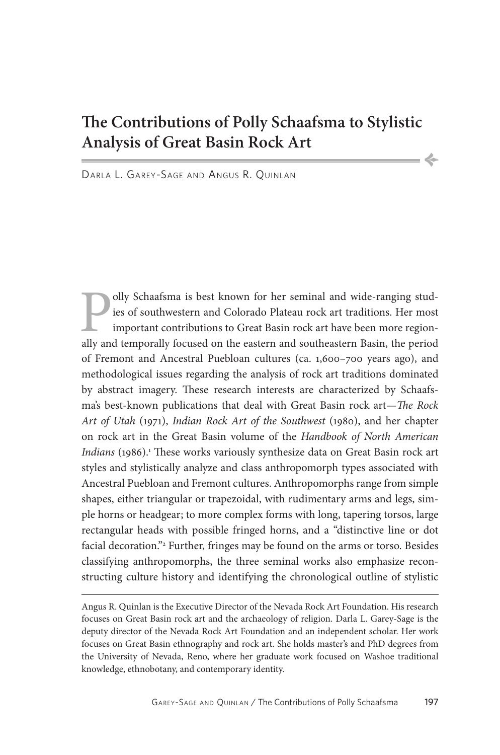## **The Contributions of Polly Schaafsma to Stylistic Analysis of Great Basin Rock Art**

•

Darla L. Garey-Sage and Angus R. Quinlan

**Polly Schaafsma** is best known for her seminal and wide-ranging studies of southwestern and Colorado Plateau rock art traditions. Her most important contributions to Great Basin rock art have been more regionally and temp ies of southwestern and Colorado Plateau rock art traditions. Her most important contributions to Great Basin rock art have been more regionally and temporally focused on the eastern and southeastern Basin, the period of Fremont and Ancestral Puebloan cultures (ca. 1,600–700 years ago), and methodological issues regarding the analysis of rock art traditions dominated by abstract imagery. These research interests are characterized by Schaafsma's best-known publications that deal with Great Basin rock art—*The Rock Art of Utah* (1971), *Indian Rock Art of the Southwest* (1980), and her chapter on rock art in the Great Basin volume of the *Handbook of North American*  Indians (1986).<sup>1</sup> These works variously synthesize data on Great Basin rock art styles and stylistically analyze and class anthropomorph types associated with Ancestral Puebloan and Fremont cultures. Anthropomorphs range from simple shapes, either triangular or trapezoidal, with rudimentary arms and legs, simple horns or headgear; to more complex forms with long, tapering torsos, large rectangular heads with possible fringed horns, and a "distinctive line or dot facial decoration."2 Further, fringes may be found on the arms or torso. Besides classifying anthropomorphs, the three seminal works also emphasize reconstructing culture history and identifying the chronological outline of stylistic

Angus R. Quinlan is the Executive Director of the Nevada Rock Art Foundation. His research focuses on Great Basin rock art and the archaeology of religion. Darla L. Garey-Sage is the deputy director of the Nevada Rock Art Foundation and an independent scholar. Her work focuses on Great Basin ethnography and rock art. She holds master's and PhD degrees from the University of Nevada, Reno, where her graduate work focused on Washoe traditional knowledge, ethnobotany, and contemporary identity.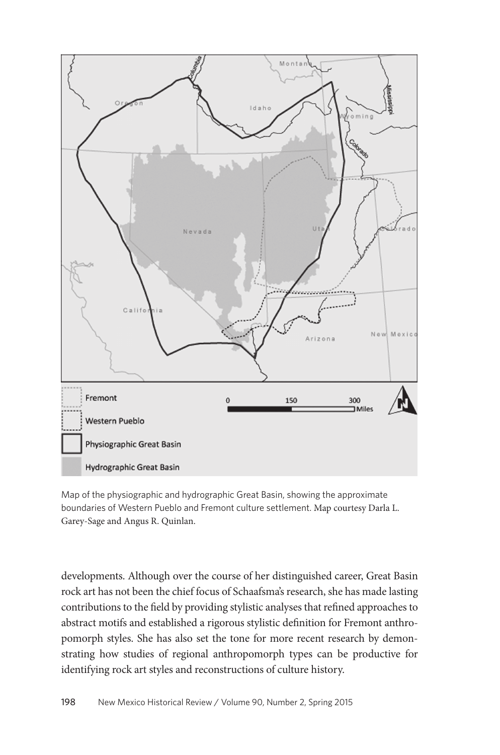

Map of the physiographic and hydrographic Great Basin, showing the approximate boundaries of Western Pueblo and Fremont culture settlement. Map courtesy Darla L. Garey-Sage and Angus R. Quinlan.

developments. Although over the course of her distinguished career, Great Basin rock art has not been the chief focus of Schaafsma's research, she has made lasting contributions to the field by providing stylistic analyses that refined approaches to abstract motifs and established a rigorous stylistic definition for Fremont anthropomorph styles. She has also set the tone for more recent research by demonstrating how studies of regional anthropomorph types can be productive for identifying rock art styles and reconstructions of culture history.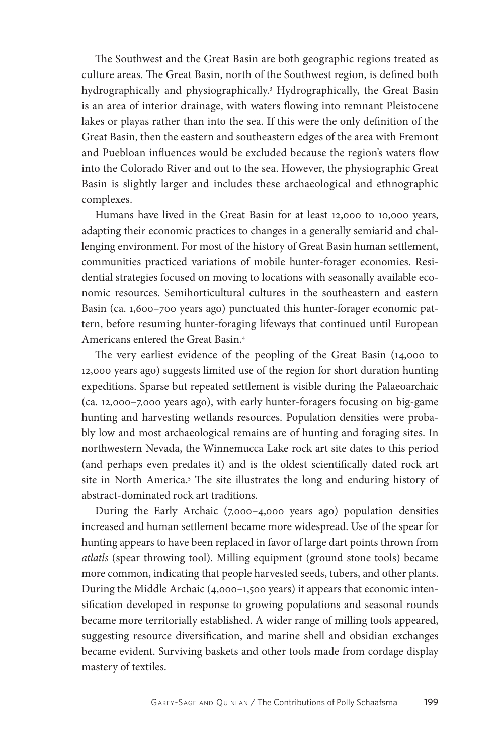The Southwest and the Great Basin are both geographic regions treated as culture areas. The Great Basin, north of the Southwest region, is defined both hydrographically and physiographically.3 Hydrographically, the Great Basin is an area of interior drainage, with waters flowing into remnant Pleistocene lakes or playas rather than into the sea. If this were the only definition of the Great Basin, then the eastern and southeastern edges of the area with Fremont and Puebloan influences would be excluded because the region's waters flow into the Colorado River and out to the sea. However, the physiographic Great Basin is slightly larger and includes these archaeological and ethnographic complexes.

Humans have lived in the Great Basin for at least 12,000 to 10,000 years, adapting their economic practices to changes in a generally semiarid and challenging environment. For most of the history of Great Basin human settlement, communities practiced variations of mobile hunter-forager economies. Residential strategies focused on moving to locations with seasonally available economic resources. Semihorticultural cultures in the southeastern and eastern Basin (ca. 1,600–700 years ago) punctuated this hunter-forager economic pattern, before resuming hunter-foraging lifeways that continued until European Americans entered the Great Basin.4

The very earliest evidence of the peopling of the Great Basin (14,000 to 12,000 years ago) suggests limited use of the region for short duration hunting expeditions. Sparse but repeated settlement is visible during the Palaeoarchaic (ca. 12,000–7,000 years ago), with early hunter-foragers focusing on big-game hunting and harvesting wetlands resources. Population densities were probably low and most archaeological remains are of hunting and foraging sites. In northwestern Nevada, the Winnemucca Lake rock art site dates to this period (and perhaps even predates it) and is the oldest scientifically dated rock art site in North America.<sup>5</sup> The site illustrates the long and enduring history of abstract-dominated rock art traditions.

During the Early Archaic (7,000–4,000 years ago) population densities increased and human settlement became more widespread. Use of the spear for hunting appears to have been replaced in favor of large dart points thrown from *atlatls* (spear throwing tool). Milling equipment (ground stone tools) became more common, indicating that people harvested seeds, tubers, and other plants. During the Middle Archaic (4,000–1,500 years) it appears that economic intensification developed in response to growing populations and seasonal rounds became more territorially established. A wider range of milling tools appeared, suggesting resource diversification, and marine shell and obsidian exchanges became evident. Surviving baskets and other tools made from cordage display mastery of textiles.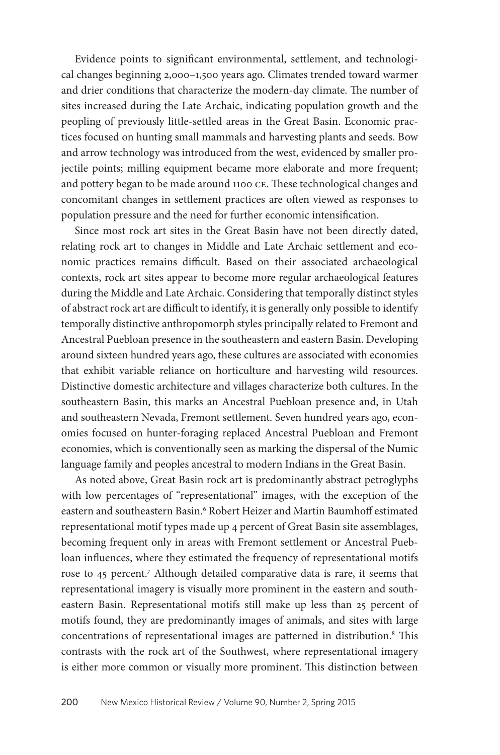Evidence points to significant environmental, settlement, and technological changes beginning 2,000–1,500 years ago. Climates trended toward warmer and drier conditions that characterize the modern-day climate. The number of sites increased during the Late Archaic, indicating population growth and the peopling of previously little-settled areas in the Great Basin. Economic practices focused on hunting small mammals and harvesting plants and seeds. Bow and arrow technology was introduced from the west, evidenced by smaller projectile points; milling equipment became more elaborate and more frequent; and pottery began to be made around 1100 ce. These technological changes and concomitant changes in settlement practices are often viewed as responses to population pressure and the need for further economic intensification.

Since most rock art sites in the Great Basin have not been directly dated, relating rock art to changes in Middle and Late Archaic settlement and economic practices remains difficult. Based on their associated archaeological contexts, rock art sites appear to become more regular archaeological features during the Middle and Late Archaic. Considering that temporally distinct styles of abstract rock art are difficult to identify, it is generally only possible to identify temporally distinctive anthropomorph styles principally related to Fremont and Ancestral Puebloan presence in the southeastern and eastern Basin. Developing around sixteen hundred years ago, these cultures are associated with economies that exhibit variable reliance on horticulture and harvesting wild resources. Distinctive domestic architecture and villages characterize both cultures. In the southeastern Basin, this marks an Ancestral Puebloan presence and, in Utah and southeastern Nevada, Fremont settlement. Seven hundred years ago, economies focused on hunter-foraging replaced Ancestral Puebloan and Fremont economies, which is conventionally seen as marking the dispersal of the Numic language family and peoples ancestral to modern Indians in the Great Basin.

As noted above, Great Basin rock art is predominantly abstract petroglyphs with low percentages of "representational" images, with the exception of the eastern and southeastern Basin.<sup>6</sup> Robert Heizer and Martin Baumhoff estimated representational motif types made up 4 percent of Great Basin site assemblages, becoming frequent only in areas with Fremont settlement or Ancestral Puebloan influences, where they estimated the frequency of representational motifs rose to 45 percent.7 Although detailed comparative data is rare, it seems that representational imagery is visually more prominent in the eastern and southeastern Basin. Representational motifs still make up less than 25 percent of motifs found, they are predominantly images of animals, and sites with large concentrations of representational images are patterned in distribution.<sup>8</sup> This contrasts with the rock art of the Southwest, where representational imagery is either more common or visually more prominent. This distinction between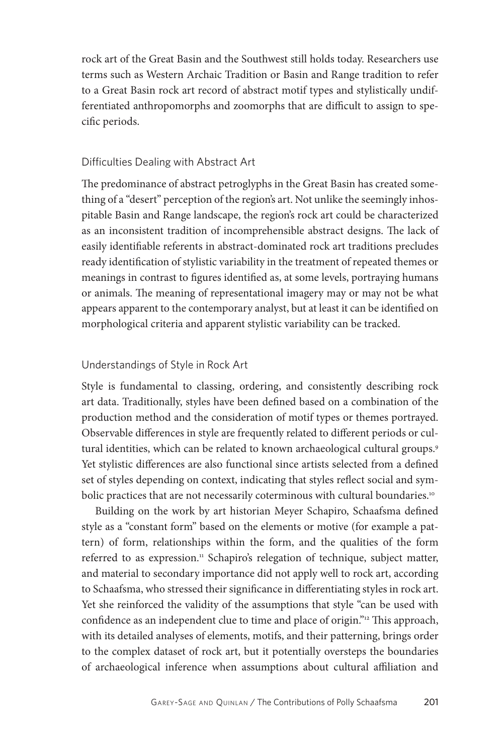rock art of the Great Basin and the Southwest still holds today. Researchers use terms such as Western Archaic Tradition or Basin and Range tradition to refer to a Great Basin rock art record of abstract motif types and stylistically undifferentiated anthropomorphs and zoomorphs that are difficult to assign to specific periods.

#### Difficulties Dealing with Abstract Art

The predominance of abstract petroglyphs in the Great Basin has created something of a "desert" perception of the region's art. Not unlike the seemingly inhospitable Basin and Range landscape, the region's rock art could be characterized as an inconsistent tradition of incomprehensible abstract designs. The lack of easily identifiable referents in abstract-dominated rock art traditions precludes ready identification of stylistic variability in the treatment of repeated themes or meanings in contrast to figures identified as, at some levels, portraying humans or animals. The meaning of representational imagery may or may not be what appears apparent to the contemporary analyst, but at least it can be identified on morphological criteria and apparent stylistic variability can be tracked.

#### Understandings of Style in Rock Art

Style is fundamental to classing, ordering, and consistently describing rock art data. Traditionally, styles have been defined based on a combination of the production method and the consideration of motif types or themes portrayed. Observable differences in style are frequently related to different periods or cultural identities, which can be related to known archaeological cultural groups.<sup>9</sup> Yet stylistic differences are also functional since artists selected from a defined set of styles depending on context, indicating that styles reflect social and symbolic practices that are not necessarily coterminous with cultural boundaries.<sup>10</sup>

Building on the work by art historian Meyer Schapiro, Schaafsma defined style as a "constant form" based on the elements or motive (for example a pattern) of form, relationships within the form, and the qualities of the form referred to as expression.<sup>11</sup> Schapiro's relegation of technique, subject matter, and material to secondary importance did not apply well to rock art, according to Schaafsma, who stressed their significance in differentiating styles in rock art. Yet she reinforced the validity of the assumptions that style "can be used with confidence as an independent clue to time and place of origin."12 This approach, with its detailed analyses of elements, motifs, and their patterning, brings order to the complex dataset of rock art, but it potentially oversteps the boundaries of archaeological inference when assumptions about cultural affiliation and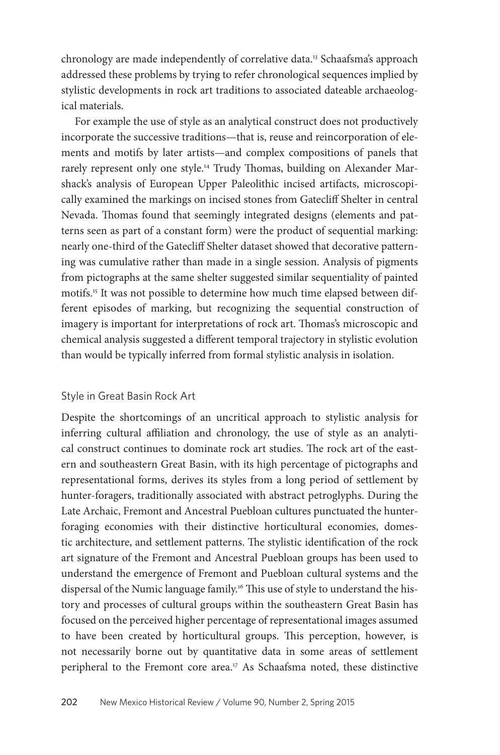chronology are made independently of correlative data.13 Schaafsma's approach addressed these problems by trying to refer chronological sequences implied by stylistic developments in rock art traditions to associated dateable archaeological materials.

For example the use of style as an analytical construct does not productively incorporate the successive traditions—that is, reuse and reincorporation of elements and motifs by later artists—and complex compositions of panels that rarely represent only one style.<sup>14</sup> Trudy Thomas, building on Alexander Marshack's analysis of European Upper Paleolithic incised artifacts, microscopically examined the markings on incised stones from Gatecliff Shelter in central Nevada. Thomas found that seemingly integrated designs (elements and patterns seen as part of a constant form) were the product of sequential marking: nearly one-third of the Gatecliff Shelter dataset showed that decorative patterning was cumulative rather than made in a single session. Analysis of pigments from pictographs at the same shelter suggested similar sequentiality of painted motifs.15 It was not possible to determine how much time elapsed between different episodes of marking, but recognizing the sequential construction of imagery is important for interpretations of rock art. Thomas's microscopic and chemical analysis suggested a different temporal trajectory in stylistic evolution than would be typically inferred from formal stylistic analysis in isolation.

#### Style in Great Basin Rock Art

Despite the shortcomings of an uncritical approach to stylistic analysis for inferring cultural affiliation and chronology, the use of style as an analytical construct continues to dominate rock art studies. The rock art of the eastern and southeastern Great Basin, with its high percentage of pictographs and representational forms, derives its styles from a long period of settlement by hunter-foragers, traditionally associated with abstract petroglyphs. During the Late Archaic, Fremont and Ancestral Puebloan cultures punctuated the hunterforaging economies with their distinctive horticultural economies, domestic architecture, and settlement patterns. The stylistic identification of the rock art signature of the Fremont and Ancestral Puebloan groups has been used to understand the emergence of Fremont and Puebloan cultural systems and the dispersal of the Numic language family.<sup>16</sup> This use of style to understand the history and processes of cultural groups within the southeastern Great Basin has focused on the perceived higher percentage of representational images assumed to have been created by horticultural groups. This perception, however, is not necessarily borne out by quantitative data in some areas of settlement peripheral to the Fremont core area.<sup>17</sup> As Schaafsma noted, these distinctive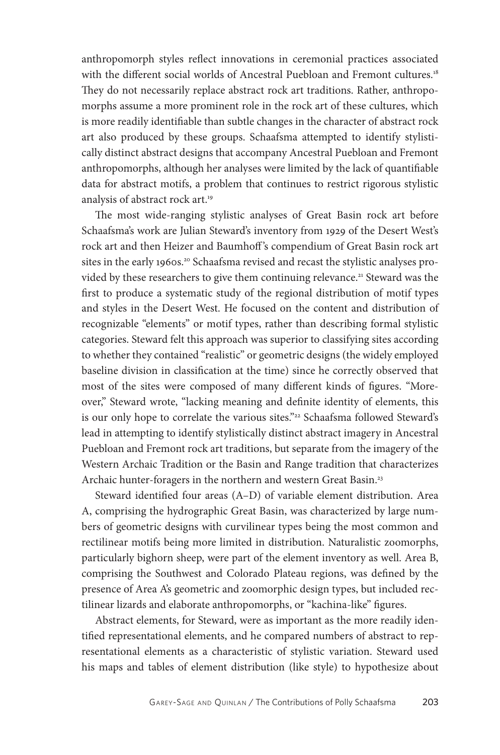anthropomorph styles reflect innovations in ceremonial practices associated with the different social worlds of Ancestral Puebloan and Fremont cultures.<sup>18</sup> They do not necessarily replace abstract rock art traditions. Rather, anthropomorphs assume a more prominent role in the rock art of these cultures, which is more readily identifiable than subtle changes in the character of abstract rock art also produced by these groups. Schaafsma attempted to identify stylistically distinct abstract designs that accompany Ancestral Puebloan and Fremont anthropomorphs, although her analyses were limited by the lack of quantifiable data for abstract motifs, a problem that continues to restrict rigorous stylistic analysis of abstract rock art.19

The most wide-ranging stylistic analyses of Great Basin rock art before Schaafsma's work are Julian Steward's inventory from 1929 of the Desert West's rock art and then Heizer and Baumhoff 's compendium of Great Basin rock art sites in the early 1960s.<sup>20</sup> Schaafsma revised and recast the stylistic analyses provided by these researchers to give them continuing relevance.<sup>21</sup> Steward was the first to produce a systematic study of the regional distribution of motif types and styles in the Desert West. He focused on the content and distribution of recognizable "elements" or motif types, rather than describing formal stylistic categories. Steward felt this approach was superior to classifying sites according to whether they contained "realistic" or geometric designs (the widely employed baseline division in classification at the time) since he correctly observed that most of the sites were composed of many different kinds of figures. "Moreover," Steward wrote, "lacking meaning and definite identity of elements, this is our only hope to correlate the various sites."<sup>22</sup> Schaafsma followed Steward's lead in attempting to identify stylistically distinct abstract imagery in Ancestral Puebloan and Fremont rock art traditions, but separate from the imagery of the Western Archaic Tradition or the Basin and Range tradition that characterizes Archaic hunter-foragers in the northern and western Great Basin.<sup>23</sup>

Steward identified four areas (A–D) of variable element distribution. Area A, comprising the hydrographic Great Basin, was characterized by large numbers of geometric designs with curvilinear types being the most common and rectilinear motifs being more limited in distribution. Naturalistic zoomorphs, particularly bighorn sheep, were part of the element inventory as well. Area B, comprising the Southwest and Colorado Plateau regions, was defined by the presence of Area A's geometric and zoomorphic design types, but included rectilinear lizards and elaborate anthropomorphs, or "kachina-like" figures.

Abstract elements, for Steward, were as important as the more readily identified representational elements, and he compared numbers of abstract to representational elements as a characteristic of stylistic variation. Steward used his maps and tables of element distribution (like style) to hypothesize about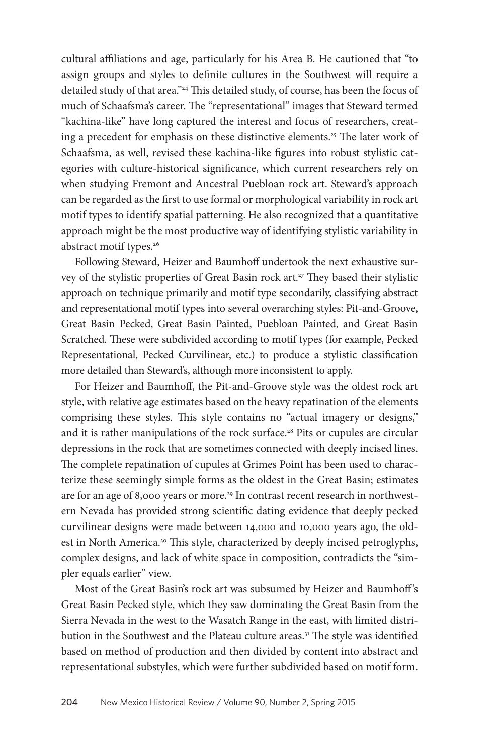cultural affiliations and age, particularly for his Area B. He cautioned that "to assign groups and styles to definite cultures in the Southwest will require a detailed study of that area."24 This detailed study, of course, has been the focus of much of Schaafsma's career. The "representational" images that Steward termed "kachina-like" have long captured the interest and focus of researchers, creating a precedent for emphasis on these distinctive elements.<sup>25</sup> The later work of Schaafsma, as well, revised these kachina-like figures into robust stylistic categories with culture-historical significance, which current researchers rely on when studying Fremont and Ancestral Puebloan rock art. Steward's approach can be regarded as the first to use formal or morphological variability in rock art motif types to identify spatial patterning. He also recognized that a quantitative approach might be the most productive way of identifying stylistic variability in abstract motif types.<sup>26</sup>

Following Steward, Heizer and Baumhoff undertook the next exhaustive survey of the stylistic properties of Great Basin rock art.<sup>27</sup> They based their stylistic approach on technique primarily and motif type secondarily, classifying abstract and representational motif types into several overarching styles: Pit-and-Groove, Great Basin Pecked, Great Basin Painted, Puebloan Painted, and Great Basin Scratched. These were subdivided according to motif types (for example, Pecked Representational, Pecked Curvilinear, etc.) to produce a stylistic classification more detailed than Steward's, although more inconsistent to apply.

For Heizer and Baumhoff, the Pit-and-Groove style was the oldest rock art style, with relative age estimates based on the heavy repatination of the elements comprising these styles. This style contains no "actual imagery or designs," and it is rather manipulations of the rock surface.<sup>28</sup> Pits or cupules are circular depressions in the rock that are sometimes connected with deeply incised lines. The complete repatination of cupules at Grimes Point has been used to characterize these seemingly simple forms as the oldest in the Great Basin; estimates are for an age of 8,000 years or more.<sup>29</sup> In contrast recent research in northwestern Nevada has provided strong scientific dating evidence that deeply pecked curvilinear designs were made between 14,000 and 10,000 years ago, the oldest in North America.<sup>30</sup> This style, characterized by deeply incised petroglyphs, complex designs, and lack of white space in composition, contradicts the "simpler equals earlier" view.

Most of the Great Basin's rock art was subsumed by Heizer and Baumhoff 's Great Basin Pecked style, which they saw dominating the Great Basin from the Sierra Nevada in the west to the Wasatch Range in the east, with limited distribution in the Southwest and the Plateau culture areas.<sup>31</sup> The style was identified based on method of production and then divided by content into abstract and representational substyles, which were further subdivided based on motif form.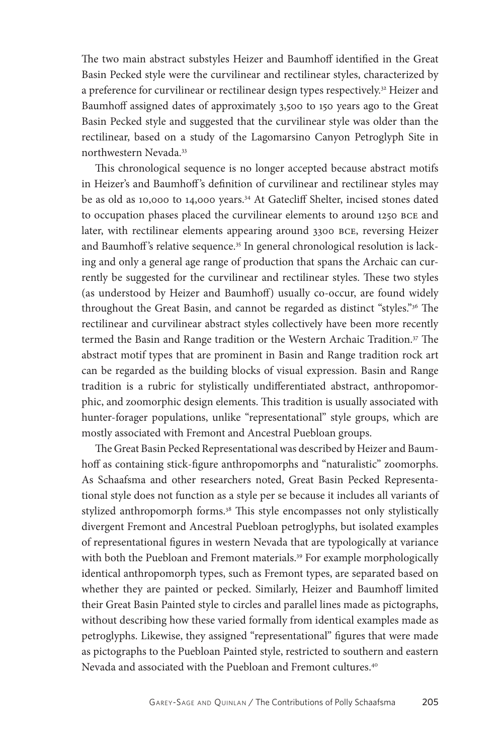The two main abstract substyles Heizer and Baumhoff identified in the Great Basin Pecked style were the curvilinear and rectilinear styles, characterized by a preference for curvilinear or rectilinear design types respectively.<sup>32</sup> Heizer and Baumhoff assigned dates of approximately 3,500 to 150 years ago to the Great Basin Pecked style and suggested that the curvilinear style was older than the rectilinear, based on a study of the Lagomarsino Canyon Petroglyph Site in northwestern Nevada.33

This chronological sequence is no longer accepted because abstract motifs in Heizer's and Baumhoff 's definition of curvilinear and rectilinear styles may be as old as 10,000 to 14,000 years.34 At Gatecliff Shelter, incised stones dated to occupation phases placed the curvilinear elements to around 1250 bce and later, with rectilinear elements appearing around 3300 bce, reversing Heizer and Baumhoff's relative sequence.<sup>35</sup> In general chronological resolution is lacking and only a general age range of production that spans the Archaic can currently be suggested for the curvilinear and rectilinear styles. These two styles (as understood by Heizer and Baumhoff) usually co-occur, are found widely throughout the Great Basin, and cannot be regarded as distinct "styles."36 The rectilinear and curvilinear abstract styles collectively have been more recently termed the Basin and Range tradition or the Western Archaic Tradition.<sup>37</sup> The abstract motif types that are prominent in Basin and Range tradition rock art can be regarded as the building blocks of visual expression. Basin and Range tradition is a rubric for stylistically undifferentiated abstract, anthropomorphic, and zoomorphic design elements. This tradition is usually associated with hunter-forager populations, unlike "representational" style groups, which are mostly associated with Fremont and Ancestral Puebloan groups.

The Great Basin Pecked Representationalwas described by Heizer and Baumhoff as containing stick-figure anthropomorphs and "naturalistic" zoomorphs. As Schaafsma and other researchers noted, Great Basin Pecked Representational style does not function as a style per se because it includes all variants of stylized anthropomorph forms.<sup>38</sup> This style encompasses not only stylistically divergent Fremont and Ancestral Puebloan petroglyphs, but isolated examples of representational figures in western Nevada that are typologically at variance with both the Puebloan and Fremont materials.<sup>39</sup> For example morphologically identical anthropomorph types, such as Fremont types, are separated based on whether they are painted or pecked. Similarly, Heizer and Baumhoff limited their Great Basin Painted style to circles and parallel lines made as pictographs, without describing how these varied formally from identical examples made as petroglyphs. Likewise, they assigned "representational" figures that were made as pictographs to the Puebloan Painted style, restricted to southern and eastern Nevada and associated with the Puebloan and Fremont cultures.40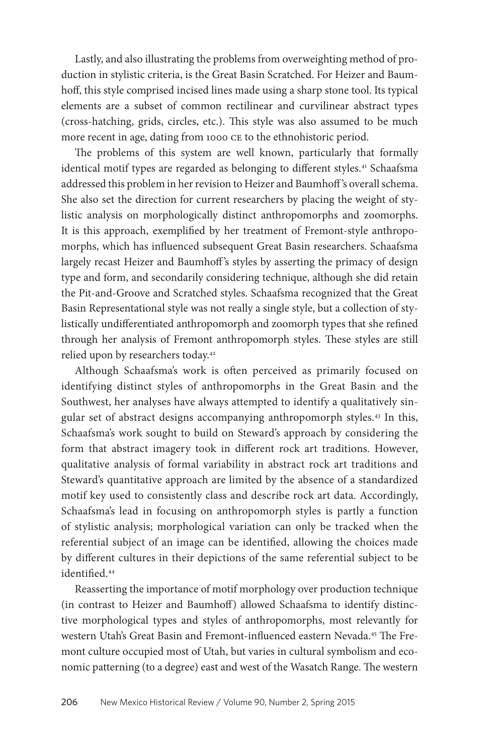Lastly, and also illustrating the problems from overweighting method of production in stylistic criteria, is the Great Basin Scratched. For Heizer and Baumhoff, this style comprised incised lines made using a sharp stone tool. Its typical elements are a subset of common rectilinear and curvilinear abstract types (cross-hatching, grids, circles, etc.). This style was also assumed to be much more recent in age, dating from 1000 ce to the ethnohistoric period.

The problems of this system are well known, particularly that formally identical motif types are regarded as belonging to different styles.<sup>41</sup> Schaafsma addressed this problem in her revision to Heizer and Baumhoff 's overall schema. She also set the direction for current researchers by placing the weight of stylistic analysis on morphologically distinct anthropomorphs and zoomorphs. It is this approach, exemplified by her treatment of Fremont-style anthropomorphs, which has influenced subsequent Great Basin researchers. Schaafsma largely recast Heizer and Baumhoff's styles by asserting the primacy of design type and form, and secondarily considering technique, although she did retain the Pit-and-Groove and Scratched styles. Schaafsma recognized that the Great Basin Representational style was not really a single style, but a collection of stylistically undifferentiated anthropomorph and zoomorph types that she refined through her analysis of Fremont anthropomorph styles. These styles are still relied upon by researchers today.42

Although Schaafsma's work is often perceived as primarily focused on identifying distinct styles of anthropomorphs in the Great Basin and the Southwest, her analyses have always attempted to identify a qualitatively singular set of abstract designs accompanying anthropomorph styles.43 In this, Schaafsma's work sought to build on Steward's approach by considering the form that abstract imagery took in different rock art traditions. However, qualitative analysis of formal variability in abstract rock art traditions and Steward's quantitative approach are limited by the absence of a standardized motif key used to consistently class and describe rock art data. Accordingly, Schaafsma's lead in focusing on anthropomorph styles is partly a function of stylistic analysis; morphological variation can only be tracked when the referential subject of an image can be identified, allowing the choices made by different cultures in their depictions of the same referential subject to be identified.44

Reasserting the importance of motif morphology over production technique (in contrast to Heizer and Baumhoff) allowed Schaafsma to identify distinctive morphological types and styles of anthropomorphs, most relevantly for western Utah's Great Basin and Fremont-influenced eastern Nevada.<sup>45</sup> The Fremont culture occupied most of Utah, but varies in cultural symbolism and economic patterning (to a degree) east and west of the Wasatch Range. The western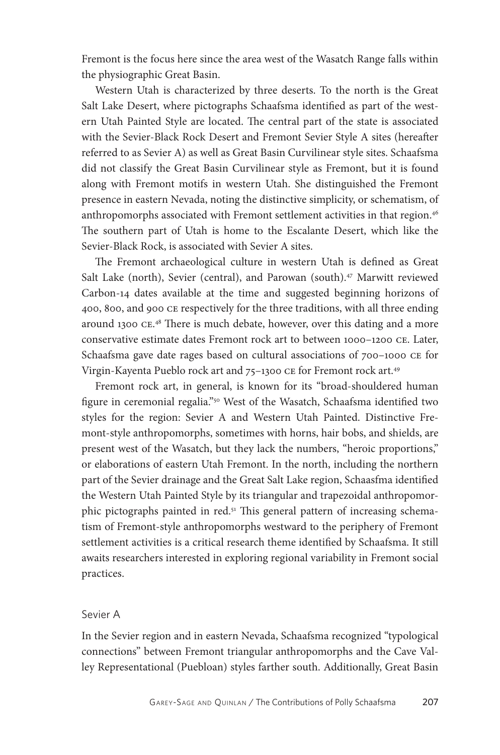Fremont is the focus here since the area west of the Wasatch Range falls within the physiographic Great Basin.

Western Utah is characterized by three deserts. To the north is the Great Salt Lake Desert, where pictographs Schaafsma identified as part of the western Utah Painted Style are located. The central part of the state is associated with the Sevier-Black Rock Desert and Fremont Sevier Style A sites (hereafter referred to as Sevier A) as well as Great Basin Curvilinear style sites. Schaafsma did not classify the Great Basin Curvilinear style as Fremont, but it is found along with Fremont motifs in western Utah. She distinguished the Fremont presence in eastern Nevada, noting the distinctive simplicity, or schematism, of anthropomorphs associated with Fremont settlement activities in that region.<sup>46</sup> The southern part of Utah is home to the Escalante Desert, which like the Sevier-Black Rock, is associated with Sevier A sites.

The Fremont archaeological culture in western Utah is defined as Great Salt Lake (north), Sevier (central), and Parowan (south).<sup>47</sup> Marwitt reviewed Carbon-14 dates available at the time and suggested beginning horizons of 400, 800, and 900 ce respectively for the three traditions, with all three ending around 1300 ce. 48 There is much debate, however, over this dating and a more conservative estimate dates Fremont rock art to between 1000–1200 ce. Later, Schaafsma gave date rages based on cultural associations of 700–1000 ce for Virgin-Kayenta Pueblo rock art and 75–1300 ce for Fremont rock art.49

Fremont rock art, in general, is known for its "broad-shouldered human figure in ceremonial regalia."<sup>50</sup> West of the Wasatch, Schaafsma identified two styles for the region: Sevier A and Western Utah Painted. Distinctive Fremont-style anthropomorphs, sometimes with horns, hair bobs, and shields, are present west of the Wasatch, but they lack the numbers, "heroic proportions," or elaborations of eastern Utah Fremont. In the north, including the northern part of the Sevier drainage and the Great Salt Lake region, Schaasfma identified the Western Utah Painted Style by its triangular and trapezoidal anthropomorphic pictographs painted in red.51 This general pattern of increasing schematism of Fremont-style anthropomorphs westward to the periphery of Fremont settlement activities is a critical research theme identified by Schaafsma. It still awaits researchers interested in exploring regional variability in Fremont social practices.

#### Sevier A

In the Sevier region and in eastern Nevada, Schaafsma recognized "typological connections" between Fremont triangular anthropomorphs and the Cave Valley Representational (Puebloan) styles farther south. Additionally, Great Basin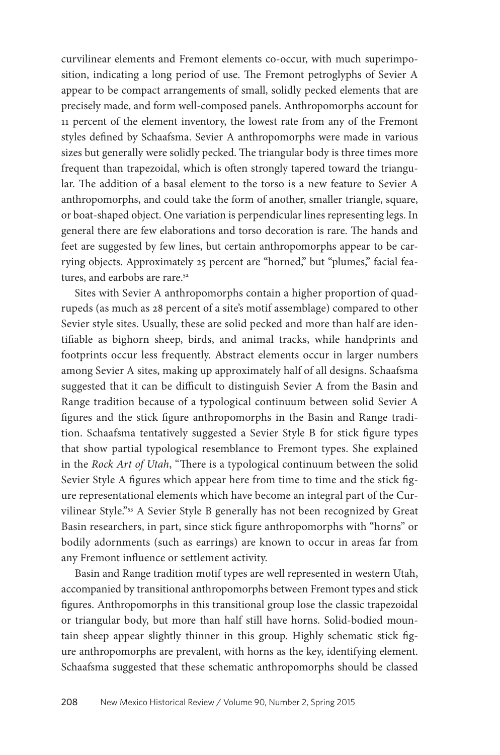curvilinear elements and Fremont elements co-occur, with much superimposition, indicating a long period of use. The Fremont petroglyphs of Sevier A appear to be compact arrangements of small, solidly pecked elements that are precisely made, and form well-composed panels. Anthropomorphs account for 11 percent of the element inventory, the lowest rate from any of the Fremont styles defined by Schaafsma. Sevier A anthropomorphs were made in various sizes but generally were solidly pecked. The triangular body is three times more frequent than trapezoidal, which is often strongly tapered toward the triangular. The addition of a basal element to the torso is a new feature to Sevier A anthropomorphs, and could take the form of another, smaller triangle, square, or boat-shaped object. One variation is perpendicular lines representing legs. In general there are few elaborations and torso decoration is rare. The hands and feet are suggested by few lines, but certain anthropomorphs appear to be carrying objects. Approximately 25 percent are "horned," but "plumes," facial features, and earbobs are rare.<sup>52</sup>

Sites with Sevier A anthropomorphs contain a higher proportion of quadrupeds (as much as 28 percent of a site's motif assemblage) compared to other Sevier style sites. Usually, these are solid pecked and more than half are identifiable as bighorn sheep, birds, and animal tracks, while handprints and footprints occur less frequently. Abstract elements occur in larger numbers among Sevier A sites, making up approximately half of all designs. Schaafsma suggested that it can be difficult to distinguish Sevier A from the Basin and Range tradition because of a typological continuum between solid Sevier A figures and the stick figure anthropomorphs in the Basin and Range tradition. Schaafsma tentatively suggested a Sevier Style B for stick figure types that show partial typological resemblance to Fremont types. She explained in the *Rock Art of Utah*, "There is a typological continuum between the solid Sevier Style A figures which appear here from time to time and the stick figure representational elements which have become an integral part of the Curvilinear Style."53 A Sevier Style B generally has not been recognized by Great Basin researchers, in part, since stick figure anthropomorphs with "horns" or bodily adornments (such as earrings) are known to occur in areas far from any Fremont influence or settlement activity.

Basin and Range tradition motif types are well represented in western Utah, accompanied by transitional anthropomorphs between Fremont types and stick figures. Anthropomorphs in this transitional group lose the classic trapezoidal or triangular body, but more than half still have horns. Solid-bodied mountain sheep appear slightly thinner in this group. Highly schematic stick figure anthropomorphs are prevalent, with horns as the key, identifying element. Schaafsma suggested that these schematic anthropomorphs should be classed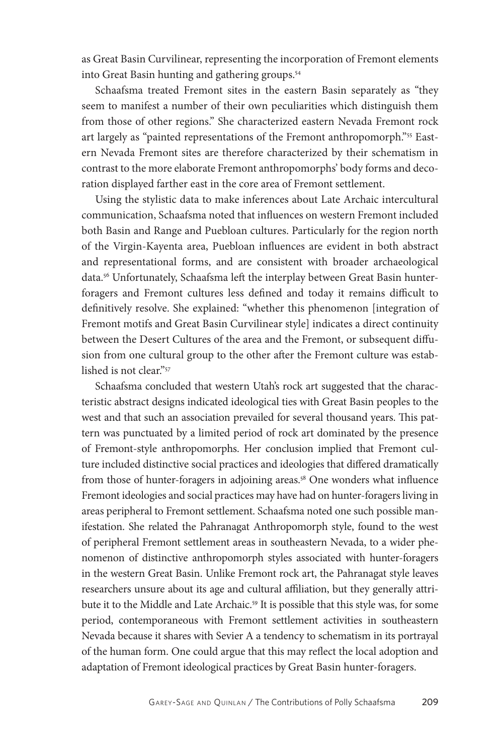as Great Basin Curvilinear, representing the incorporation of Fremont elements into Great Basin hunting and gathering groups.<sup>54</sup>

Schaafsma treated Fremont sites in the eastern Basin separately as "they seem to manifest a number of their own peculiarities which distinguish them from those of other regions." She characterized eastern Nevada Fremont rock art largely as "painted representations of the Fremont anthropomorph."55 Eastern Nevada Fremont sites are therefore characterized by their schematism in contrast to the more elaborate Fremont anthropomorphs' body forms and decoration displayed farther east in the core area of Fremont settlement.

Using the stylistic data to make inferences about Late Archaic intercultural communication, Schaafsma noted that influences on western Fremont included both Basin and Range and Puebloan cultures. Particularly for the region north of the Virgin-Kayenta area, Puebloan influences are evident in both abstract and representational forms, and are consistent with broader archaeological data.56 Unfortunately, Schaafsma left the interplay between Great Basin hunterforagers and Fremont cultures less defined and today it remains difficult to definitively resolve. She explained: "whether this phenomenon [integration of Fremont motifs and Great Basin Curvilinear style] indicates a direct continuity between the Desert Cultures of the area and the Fremont, or subsequent diffusion from one cultural group to the other after the Fremont culture was established is not clear."57

Schaafsma concluded that western Utah's rock art suggested that the characteristic abstract designs indicated ideological ties with Great Basin peoples to the west and that such an association prevailed for several thousand years. This pattern was punctuated by a limited period of rock art dominated by the presence of Fremont-style anthropomorphs. Her conclusion implied that Fremont culture included distinctive social practices and ideologies that differed dramatically from those of hunter-foragers in adjoining areas.<sup>58</sup> One wonders what influence Fremont ideologies and social practices may have had on hunter-foragers living in areas peripheral to Fremont settlement. Schaafsma noted one such possible manifestation. She related the Pahranagat Anthropomorph style, found to the west of peripheral Fremont settlement areas in southeastern Nevada, to a wider phenomenon of distinctive anthropomorph styles associated with hunter-foragers in the western Great Basin. Unlike Fremont rock art, the Pahranagat style leaves researchers unsure about its age and cultural affiliation, but they generally attribute it to the Middle and Late Archaic.<sup>59</sup> It is possible that this style was, for some period, contemporaneous with Fremont settlement activities in southeastern Nevada because it shares with Sevier A a tendency to schematism in its portrayal of the human form. One could argue that this may reflect the local adoption and adaptation of Fremont ideological practices by Great Basin hunter-foragers.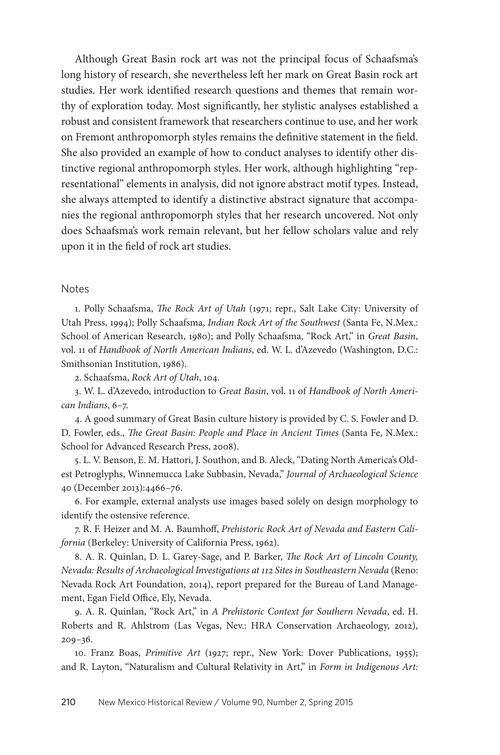Although Great Basin rock art was not the principal focus of Schaafsma's long history of research, she nevertheless left her mark on Great Basin rock art studies. Her work identified research questions and themes that remain worthy of exploration today. Most significantly, her stylistic analyses established a robust and consistent framework that researchers continue to use, and her work on Fremont anthropomorph styles remains the definitive statement in the field. She also provided an example of how to conduct analyses to identify other distinctive regional anthropomorph styles. Her work, although highlighting "representational" elements in analysis, did not ignore abstract motif types. Instead, she always attempted to identify a distinctive abstract signature that accompanies the regional anthropomorph styles that her research uncovered. Not only does Schaafsma's work remain relevant, but her fellow scholars value and rely upon it in the field of rock art studies.

#### Notes

1. Polly Schaafsma, *The Rock Art of Utah* (1971; repr., Salt Lake City: University of Utah Press, 1994); Polly Schaafsma, *Indian Rock Art of the Southwest* (Santa Fe, N.Mex.: School of American Research, 1980); and Polly Schaafsma, "Rock Art," in *Great Basin*, vol. 11 of *Handbook of North American Indians*, ed. W. L. d'Azevedo (Washington, D.C.: Smithsonian Institution, 1986).

2. Schaafsma, *Rock Art of Utah*, 104.

3. W. L. d'Azevedo, introduction to *Great Basin*, vol. 11 of *Handbook of North American Indians*, 6–7.

4. A good summary of Great Basin culture history is provided by C. S. Fowler and D. D. Fowler, eds., *The Great Basin: People and Place in Ancient Times* (Santa Fe, N.Mex.: School for Advanced Research Press, 2008).

5. L. V. Benson, E. M. Hattori, J. Southon, and B. Aleck, "Dating North America's Oldest Petroglyphs, Winnemucca Lake Subbasin, Nevada," *Journal of Archaeological Science* 40 (December 2013):4466–76.

6. For example, external analysts use images based solely on design morphology to identify the ostensive reference.

7. R. F. Heizer and M. A. Baumhoff, *Prehistoric Rock Art of Nevada and Eastern California* (Berkeley: University of California Press, 1962).

8. A. R. Quinlan, D. L. Garey-Sage, and P. Barker, *The Rock Art of Lincoln County, Nevada: Results of Archaeological Investigations at 112 Sites in Southeastern Nevada* (Reno: Nevada Rock Art Foundation, 2014), report prepared for the Bureau of Land Management, Egan Field Office, Ely, Nevada.

9. A. R. Quinlan, "Rock Art," in *A Prehistoric Context for Southern Nevada*, ed. H. Roberts and R. Ahlstrom (Las Vegas, Nev.: HRA Conservation Archaeology, 2012), 209–36.

10. Franz Boas, *Primitive Art* (1927; repr., New York: Dover Publications, 1955); and R. Layton, "Naturalism and Cultural Relativity in Art," in *Form in Indigenous Art:*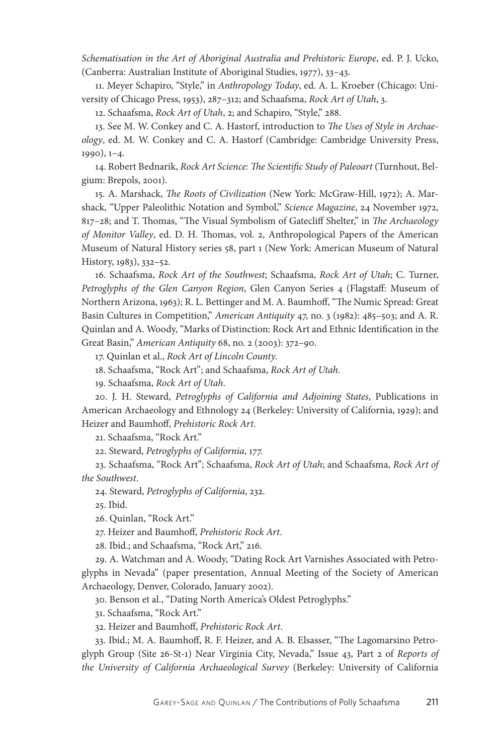*Schematisation in the Art of Aboriginal Australia and Prehistoric Europe*, ed. P. J. Ucko, (Canberra: Australian Institute of Aboriginal Studies, 1977), 33–43.

11. Meyer Schapiro, "Style," in *Anthropology Today*, ed. A. L. Kroeber (Chicago: University of Chicago Press, 1953), 287–312; and Schaafsma, *Rock Art of Utah*, 3.

12. Schaafsma, *Rock Art of Utah*, 2; and Schapiro, "Style," 288.

13. See M. W. Conkey and C. A. Hastorf, introduction to *The Uses of Style in Archaeology*, ed. M. W. Conkey and C. A. Hastorf (Cambridge: Cambridge University Press, 1990), 1–4.

14. Robert Bednarik, *Rock Art Science: The Scientific Study of Paleoart* (Turnhout, Belgium: Brepols, 2001).

15. A. Marshack, *The Roots of Civilization* (New York: McGraw-Hill, 1972); A. Marshack, "Upper Paleolithic Notation and Symbol," *Science Magazine*, 24 November 1972, 817–28; and T. Thomas, "The Visual Symbolism of Gatecliff Shelter," in *The Archaeology of Monitor Valley*, ed. D. H. Thomas, vol. 2, Anthropological Papers of the American Museum of Natural History series 58, part 1 (New York: American Museum of Natural History, 1983), 332–52.

16. Schaafsma, *Rock Art of the Southwest*; Schaafsma, *Rock Art of Utah*; C. Turner, *Petroglyphs of the Glen Canyon Region*, Glen Canyon Series 4 (Flagstaff: Museum of Northern Arizona, 1963); R. L. Bettinger and M. A. Baumhoff, "The Numic Spread: Great Basin Cultures in Competition," *American Antiquity* 47, no. 3 (1982): 485–503; and A. R. Quinlan and A. Woody, "Marks of Distinction: Rock Art and Ethnic Identification in the Great Basin," *American Antiquity* 68, no. 2 (2003): 372–90.

17. Quinlan et al., *Rock Art of Lincoln County*.

18. Schaafsma, "Rock Art"; and Schaafsma, *Rock Art of Utah*.

19. Schaafsma, *Rock Art of Utah*.

20. J. H. Steward, *Petroglyphs of California and Adjoining States*, Publications in American Archaeology and Ethnology 24 (Berkeley: University of California, 1929); and Heizer and Baumhoff, *Prehistoric Rock Art*.

21. Schaafsma, "Rock Art."

22. Steward, *Petroglyphs of California*, 177.

23. Schaafsma, "Rock Art"; Schaafsma, *Rock Art of Utah*; and Schaafsma, *Rock Art of the Southwest*.

24. Steward, *Petroglyphs of California*, 232.

25. Ibid.

26. Quinlan, "Rock Art."

27. Heizer and Baumhoff, *Prehistoric Rock Art*.

28. Ibid.; and Schaafsma, "Rock Art," 216.

29. A. Watchman and A. Woody, "Dating Rock Art Varnishes Associated with Petroglyphs in Nevada" (paper presentation, Annual Meeting of the Society of American Archaeology, Denver, Colorado, January 2002).

30. Benson et al., "Dating North America's Oldest Petroglyphs."

31. Schaafsma, "Rock Art."

32. Heizer and Baumhoff, *Prehistoric Rock Art*.

33. Ibid.; M. A. Baumhoff, R. F. Heizer, and A. B. Elsasser, "The Lagomarsino Petroglyph Group (Site 26-St-1) Near Virginia City, Nevada," Issue 43, Part 2 of *Reports of the University of California Archaeological Survey* (Berkeley: University of California